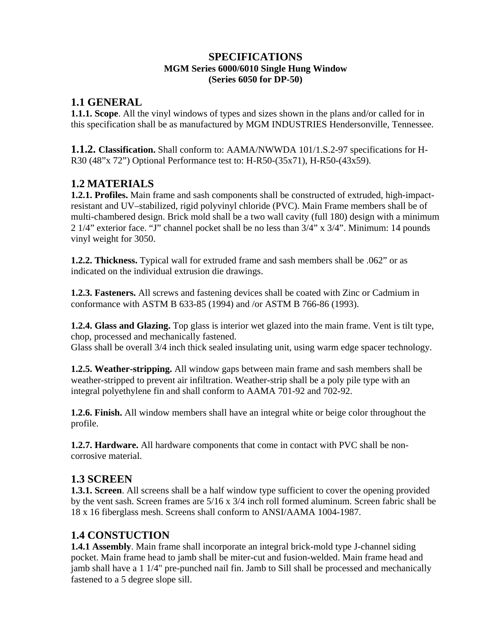#### **SPECIFICATIONS MGM Series 6000/6010 Single Hung Window (Series 6050 for DP-50)**

### **1.1 GENERAL**

**1.1.1. Scope**. All the vinyl windows of types and sizes shown in the plans and/or called for in this specification shall be as manufactured by MGM INDUSTRIES Hendersonville, Tennessee.

**1.1.2. Classification.** Shall conform to: AAMA/NWWDA 101/1.S.2-97 specifications for H-R30 (48"x 72") Optional Performance test to: H-R50-(35x71), H-R50-(43x59).

# **1.2 MATERIALS**

**1.2.1. Profiles.** Main frame and sash components shall be constructed of extruded, high-impactresistant and UV–stabilized, rigid polyvinyl chloride (PVC). Main Frame members shall be of multi-chambered design. Brick mold shall be a two wall cavity (full 180) design with a minimum 2 1/4" exterior face. "J" channel pocket shall be no less than 3/4" x 3/4". Minimum: 14 pounds vinyl weight for 3050.

**1.2.2. Thickness.** Typical wall for extruded frame and sash members shall be .062" or as indicated on the individual extrusion die drawings.

**1.2.3. Fasteners.** All screws and fastening devices shall be coated with Zinc or Cadmium in conformance with ASTM B 633-85 (1994) and /or ASTM B 766-86 (1993).

**1.2.4. Glass and Glazing.** Top glass is interior wet glazed into the main frame. Vent is tilt type, chop, processed and mechanically fastened.

Glass shall be overall 3/4 inch thick sealed insulating unit, using warm edge spacer technology.

**1.2.5. Weather-stripping.** All window gaps between main frame and sash members shall be weather-stripped to prevent air infiltration. Weather-strip shall be a poly pile type with an integral polyethylene fin and shall conform to AAMA 701-92 and 702-92.

**1.2.6. Finish.** All window members shall have an integral white or beige color throughout the profile.

**1.2.7. Hardware.** All hardware components that come in contact with PVC shall be noncorrosive material.

# **1.3 SCREEN**

**1.3.1. Screen**. All screens shall be a half window type sufficient to cover the opening provided by the vent sash. Screen frames are 5/16 x 3/4 inch roll formed aluminum. Screen fabric shall be 18 x 16 fiberglass mesh. Screens shall conform to ANSI/AAMA 1004-1987.

# **1.4 CONSTUCTION**

**1.4.1 Assembly**. Main frame shall incorporate an integral brick-mold type J-channel siding pocket. Main frame head to jamb shall be miter-cut and fusion-welded. Main frame head and jamb shall have a 1 1/4" pre-punched nail fin. Jamb to Sill shall be processed and mechanically fastened to a 5 degree slope sill.